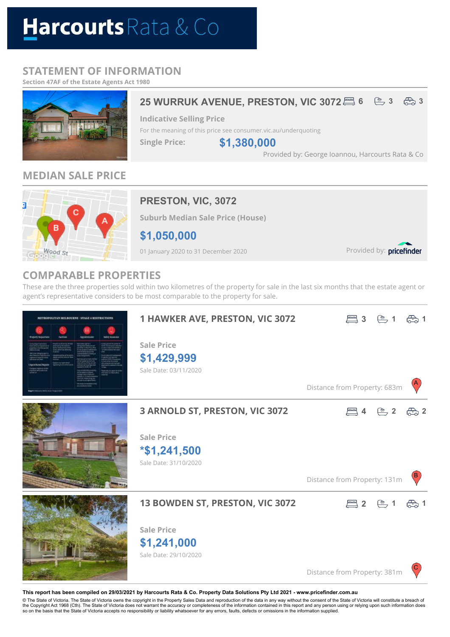# Harcourts Rata & Co

# **STATEMENT OF INFORMATION**

**Section 47AF of the Estate Agents Act 1980**



# **MEDIAN SALE PRICE**



# **PRESTON, VIC, 3072**

**Suburb Median Sale Price (House)**

**\$1,050,000**

01 January 2020 to 31 December 2020

Provided by: pricefinder

# **COMPARABLE PROPERTIES**

These are the three properties sold within two kilometres of the property for sale in the last six months that the estate agent or agent's representative considers to be most comparable to the property for sale.



#### **This report has been compiled on 29/03/2021 by Harcourts Rata & Co. Property Data Solutions Pty Ltd 2021 - www.pricefinder.com.au**

© The State of Victoria. The State of Victoria owns the copyright in the Property Sales Data and reproduction of the data in any way without the consent of the State of Victoria will constitute a breach of<br>the Copyright Ac so on the basis that the State of Victoria accepts no responsibility or liability whatsoever for any errors, faults, defects or omissions in the information supplied.